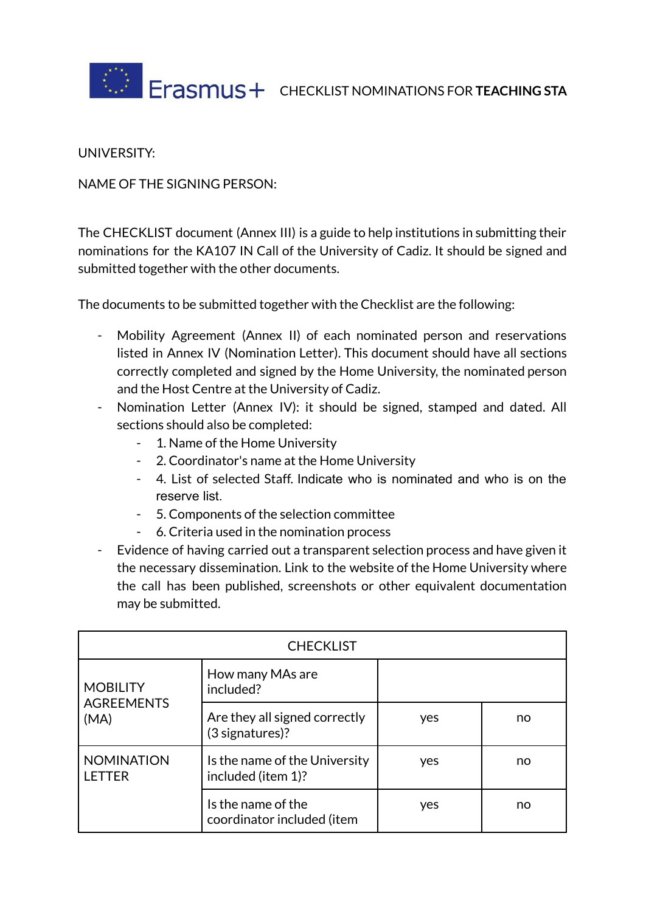

UNIVERSITY:

NAME OF THE SIGNING PERSON:

The CHECKLIST document (Annex III) is a guide to help institutions in submitting their nominations for the KA107 IN Call of the University of Cadiz. It should be signed and submitted together with the other documents.

The documents to be submitted together with the Checklist are the following:

- Mobility Agreement (Annex II) of each nominated person and reservations listed in Annex IV (Nomination Letter). This document should have all sections correctly completed and signed by the Home University, the nominated person and the Host Centre at the University of Cadiz.
- Nomination Letter (Annex IV): it should be signed, stamped and dated. All sections should also be completed:
	- 1. Name of the Home University
	- 2. Coordinator's name at the Home University
	- 4. List of selected Staff. Indicate who is nominated and who is on the reserve list.
	- 5. Components of the selection committee
	- 6. Criteria used in the nomination process
- Evidence of having carried out a transparent selection process and have given it the necessary dissemination. Link to the website of the Home University where the call has been published, screenshots or other equivalent documentation may be submitted.

| <b>CHECKLIST</b>                             |                                                     |     |    |  |
|----------------------------------------------|-----------------------------------------------------|-----|----|--|
| <b>MOBILITY</b><br><b>AGREEMENTS</b><br>(MA) | How many MAs are<br>included?                       |     |    |  |
|                                              | Are they all signed correctly<br>(3 signatures)?    | yes | no |  |
| <b>NOMINATION</b><br><b>LETTER</b>           | Is the name of the University<br>included (item 1)? | yes | no |  |
|                                              | Is the name of the<br>coordinator included (item    | yes | no |  |